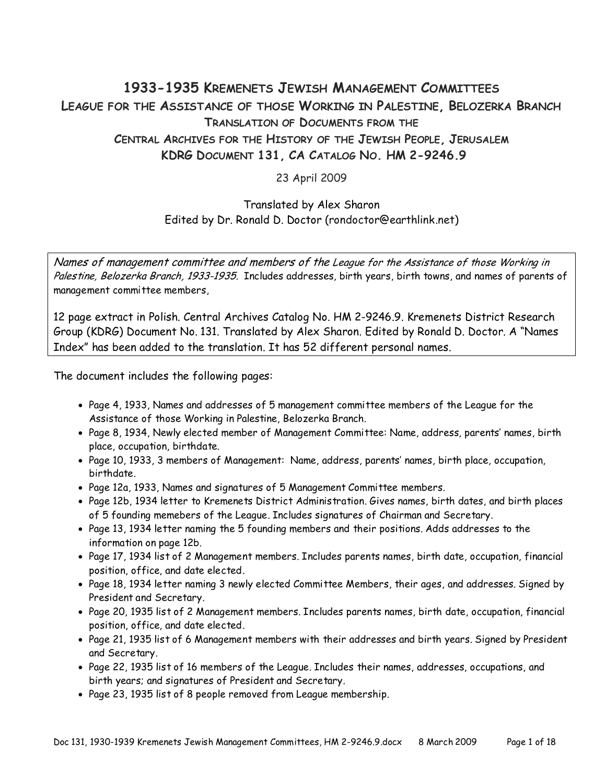# **1933-1935 KREMENETS JEWISH MANAGEMENT COMMITTEES LEAGUE FOR THE ASSISTANCE OF THOSE WORKING IN PALESTINE, BELOZERKA BRANCH TRANSLATION OF DOCUMENTS FROM THE CENTRAL ARCHIVES FOR THE HISTORY OF THE JEWISH PEOPLE, JERUSALEM KDRG DOCUMENT 131, CA CATALOG NO. HM 2-9246.9**

23 April 2009

#### Translated by Alex Sharon Edited by Dr. Ronald D. Doctor (rondoctor@earthlink.net)

Names of management committee and members of the League for the Assistance of those Working in Palestine, Belozerka Branch, 1933-1935. Includes addresses, birth years, birth towns, and names of parents of management committee members,

12 page extract in Polish. Central Archives Catalog No. HM 2-9246.9. Kremenets District Research Group (KDRG) Document No. 131. Translated by Alex Sharon. Edited by Ronald D. Doctor. A "Names Index" has been added to the translation. It has 52 different personal names.

The document includes the following pages:

- Page 4, 1933, Names and addresses of 5 management committee members of the League for the Assistance of those Working in Palestine, Belozerka Branch.
- Page 8, 1934, Newly elected member of Management Committee: Name, address, parents' names, birth place, occupation, birthdate.
- Page 10, 1933, 3 members of Management: Name, address, parents' names, birth place, occupation, birthdate.
- Page 12a, 1933, Names and signatures of 5 Management Committee members.
- Page 12b, 1934 letter to Kremenets District Administration. Gives names, birth dates, and birth places of 5 founding memebers of the League. Includes signatures of Chairman and Secretary.
- Page 13, 1934 letter naming the 5 founding members and their positions. Adds addresses to the information on page 12b.
- Page 17, 1934 list of 2 Management members. Includes parents names, birth date, occupation, financial position, office, and date elected.
- Page 18, 1934 letter naming 3 newly elected Committee Members, their ages, and addresses. Signed by President and Secretary.
- Page 20, 1935 list of 2 Management members. Includes parents names, birth date, occupation, financial position, office, and date elected.
- Page 21, 1935 list of 6 Management members with their addresses and birth years. Signed by President and Secretary.
- Page 22, 1935 list of 16 members of the League. Includes their names, addresses, occupations, and birth years; and signatures of President and Secretary.
- Page 23, 1935 list of 8 people removed from League membership.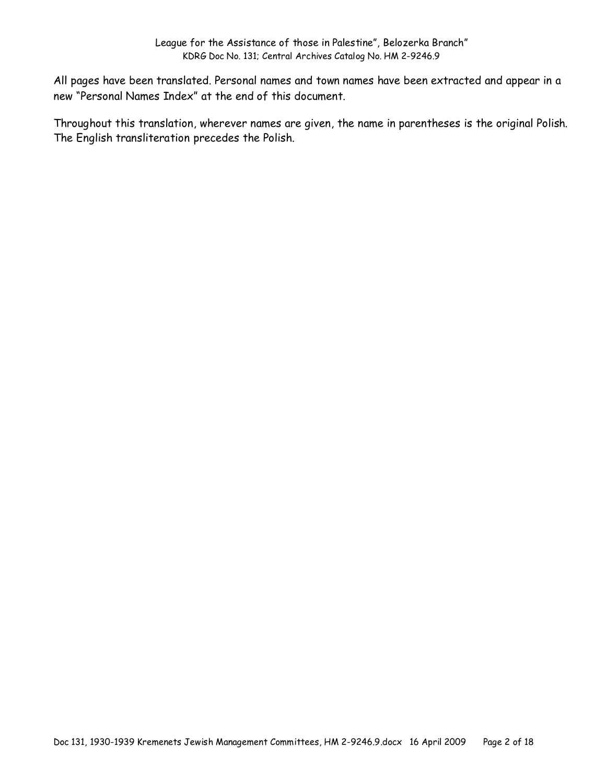All pages have been translated. Personal names and town names have been extracted and appear in a new "Personal Names Index" at the end of this document.

Throughout this translation, wherever names are given, the name in parentheses is the original Polish. The English transliteration precedes the Polish.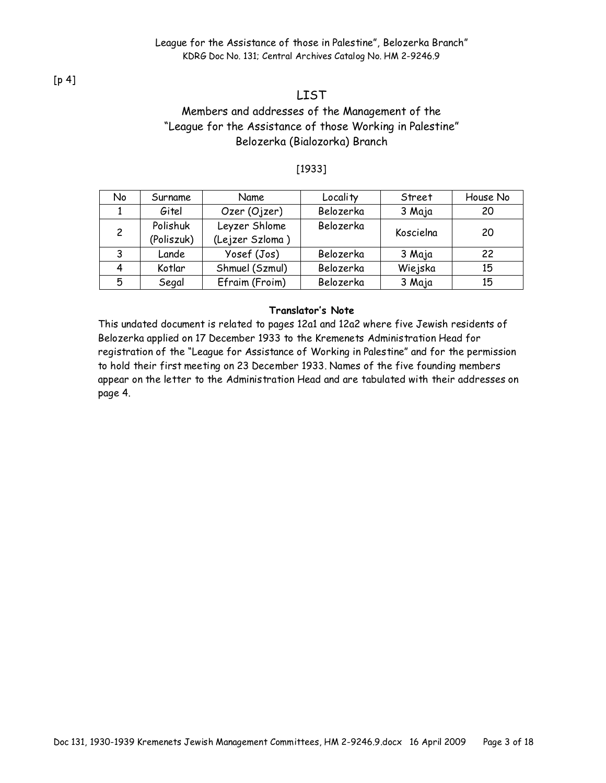[p 4]

# LIST

### Members and addresses of the Management of the "League for the Assistance of those Working in Palestine" Belozerka (Bialozorka) Branch

#### [1933]

| No | Surname    | Name            | Locality  | Street    | House No |
|----|------------|-----------------|-----------|-----------|----------|
|    | Gitel      | Ozer (Ojzer)    | Belozerka | 3 Maja    | 20       |
| 2  | Polishuk   | Leyzer Shlome   | Belozerka | Koscielna | 20       |
|    | (Poliszuk) | (Lejzer Szloma) |           |           |          |
| 3  | Lande      | Yosef (Jos)     | Belozerka | 3 Maja    | 22       |
|    | Kotlar     | Shmuel (Szmul)  | Belozerka | Wiejska   | 15       |
| 5  | Segal      | Efraim (Froim)  | Belozerka | 3 Maja    | 15       |

#### **Translator's Note**

This undated document is related to pages 12a1 and 12a2 where five Jewish residents of Belozerka applied on 17 December 1933 to the Kremenets Administration Head for registration of the "League for Assistance of Working in Palestine" and for the permission to hold their first meeting on 23 December 1933. Names of the five founding members appear on the letter to the Administration Head and are tabulated with their addresses on page 4.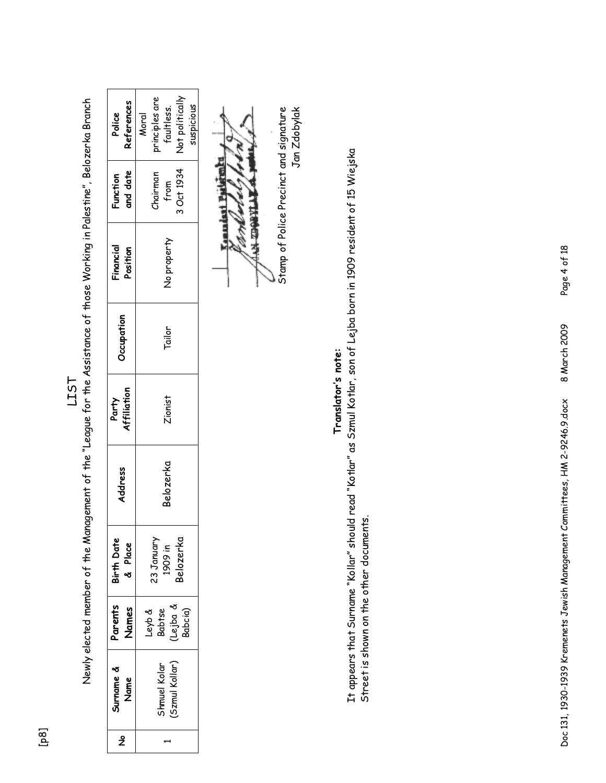| References<br>Police<br>and date<br>Function<br>Financial<br>Position<br><b>Pecupation</b> | principles are<br>faultless.<br>Not politically<br>suspicious<br>Moral<br>3 Oct 1934<br><b>Chairman</b><br>from<br>No property<br>Tailor |  |  |
|--------------------------------------------------------------------------------------------|------------------------------------------------------------------------------------------------------------------------------------------|--|--|
| Affiliation<br>Party                                                                       | Zionist                                                                                                                                  |  |  |
| Address                                                                                    | Belozerka                                                                                                                                |  |  |
| Birth Date<br>& Place                                                                      | 3elozerka<br>23 January<br>1909 in                                                                                                       |  |  |
| Parents<br><b>James</b>                                                                    | Leyb &<br>Babtse<br>Lejba &<br>Babcia)                                                                                                   |  |  |
| Surname &<br>Name                                                                          | shmuel Kolar<br>Szmul Kollar)                                                                                                            |  |  |
| ž                                                                                          |                                                                                                                                          |  |  |

LIST<br>Newly elected member of the Management of the "League for the Assistance of those Working in Palestine", Belozerka Branch Newly elected member of the Management of the "League for the Assistance of those Working in Palestine", Belozerka Branch

**ITTERSON KYY Comma** 

 Stamp of Police Precinct and signature Jan Zdobylak Stamp of Police Precinct and signature Jan Zdobylak

# **Translator's note:**  Translator's note:

It appears that Surname "Kollar" should read "Kotlar" as Szmul Kotlar, son of Lejba born in 1909 resident of 15 Wiejska It appears that Surname "Kollar" should read "Kotlar" as Szmul Kotlar, son of Lejba born in 1909 resident of 15 Wiejska Street is shown on the other documents. Street is shown on the other documents.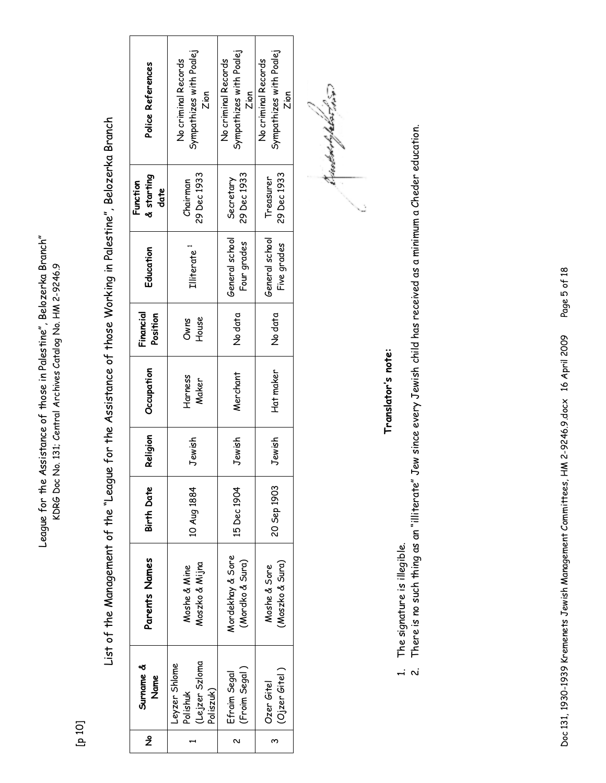League for the Assistance of those in Palestine", Belozerka Branch" League for the Assistance of those in Palestine", Belozerka Branch" KDRG Doc No. 131; Central Archives Catalog No. HM 2-9246.9 KDRG Doc No. 131; Central Archives Catalog No. HM 2-9246.9

[p 10]

List of the Management of the "League for the Assistance of those Working in Palestine", Belozerka Branch List of the Management of the "League for the Assistance of those Working in Palestine", Belozerka Branch

| Police References              | Sympathizes with Poalej<br>No criminal Records<br>Zion  | Sympathizes with Poalej<br>No criminal Records<br>Zion | Sympathizes with Poalej<br>No criminal Records<br>Zion |
|--------------------------------|---------------------------------------------------------|--------------------------------------------------------|--------------------------------------------------------|
| & starting<br>Function<br>date | 29 Dec 1933<br>Chairman                                 | 29 Dec 1933<br>Secretary                               | 29 Dec 1933<br>Treasurer                               |
| Education                      | Illiterate                                              | General school<br>Four grades                          | General school<br>Five grades                          |
| Financial<br>Position          | House<br>Owns                                           | No data                                                | No data                                                |
| Occupation                     | Harness<br>Maker                                        | Merchant                                               | Hat maker                                              |
| Religion                       | Jewish                                                  | Jewish                                                 | Jewish                                                 |
| Birth Date                     | 10 Aug 1884                                             | 15 Dec 1904                                            | 20 Sep 1903                                            |
| Parents Names                  | Moszko & Mijna<br>Moshe & Mine                          | Mordekhay & Sore<br>(Mordko & Sura)                    | (Moszko & Sura)<br>Moshe & Sore                        |
| Surname &<br>Name              | Lejzer Szloma<br>Leyzer Shlome<br>Poliszuk)<br>Polishuk | (Froim Segal)<br>Efraim Segal                          | (Ojzer Gitel)<br>Ozer Gitel                            |
| ž                              |                                                         | N                                                      | ო                                                      |

trudortsplatsins

# **Translator's note:**  Translator's note:

- The signature is illegible. 1. The signature is illegible.
- There is no such thing as an "illiterate" Jew since every Jewish child has received as a minimum a Cheder education. 2. There is no such thing as an "illiterate" Jew since every Jewish child has received as a minimum a Cheder education.  $\overrightarrow{a}$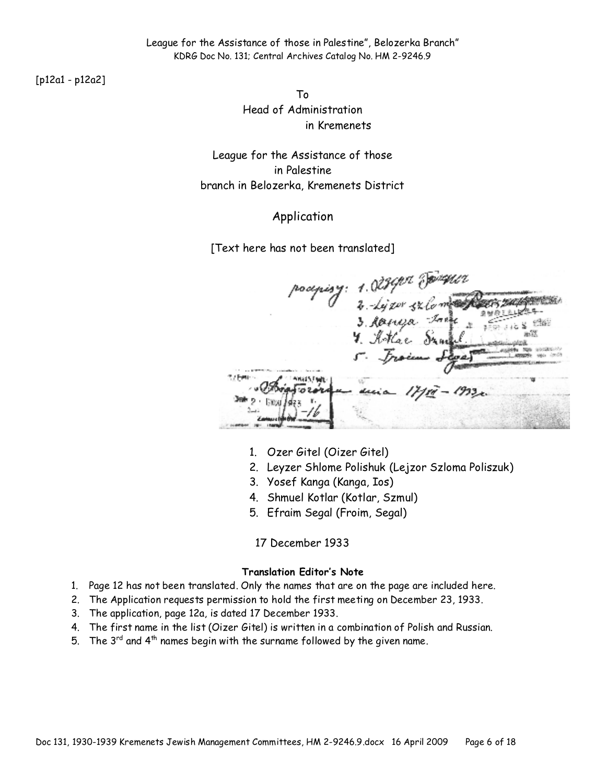[p12a1 - p12a2]

To Head of Administration in Kremenets

League for the Assistance of those in Palestine branch in Belozerka, Kremenets District

#### Application

[Text here has not been translated]

podpisy: 1.028902 domestic

- 1. Ozer Gitel (Oizer Gitel)
- 2. Leyzer Shlome Polishuk (Lejzor Szloma Poliszuk)
- 3. Yosef Kanga (Kanga, Ios)
- 4. Shmuel Kotlar (Kotlar, Szmul)
- 5. Efraim Segal (Froim, Segal)

17 December 1933

#### **Translation Editor's Note**

- 1. Page 12 has not been translated. Only the names that are on the page are included here.
- 2. The Application requests permission to hold the first meeting on December 23, 1933.
- 3. The application, page 12a, is dated 17 December 1933.
- 4. The first name in the list (Oizer Gitel) is written in a combination of Polish and Russian.
- 5. The  $3^{rd}$  and  $4^{th}$  names begin with the surname followed by the given name.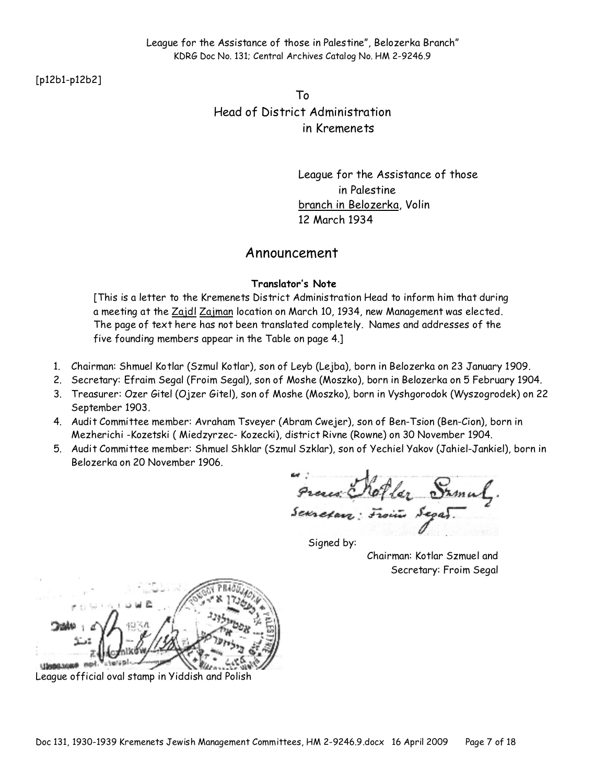[p12b1-p12b2]

To Head of District Administration in Kremenets

> League for the Assistance of those in Palestine branch in Belozerka, Volin 12 March 1934

#### Announcement

#### **Translator's Note**

[This is a letter to the Kremenets District Administration Head to inform him that during a meeting at the Zajdl Zajman location on March 10, 1934, new Management was elected. The page of text here has not been translated completely. Names and addresses of the five founding members appear in the Table on page 4.]

- 1. Chairman: Shmuel Kotlar (Szmul Kotlar), son of Leyb (Lejba), born in Belozerka on 23 January 1909.
- 2. Secretary: Efraim Segal (Froim Segal), son of Moshe (Moszko), born in Belozerka on 5 February 1904.
- 3. Treasurer: Ozer Gitel (Ojzer Gitel), son of Moshe (Moszko), born in Vyshgorodok (Wyszogrodek) on 22 September 1903.
- 4. Audit Committee member: Avraham Tsveyer (Abram Cwejer), son of Ben-Tsion (Ben-Cion), born in Mezherichi -Kozetski ( Miedzyrzec- Kozecki), district Rivne (Rowne) on 30 November 1904.
- 5. Audit Committee member: Shmuel Shklar (Szmul Szklar), son of Yechiel Yakov (Jahiel-Jankiel), born in Belozerka on 20 November 1906.

Preces Roller Samul.

Signed by:

Chairman: Kotlar Szmuel and Secretary: Froim Segal

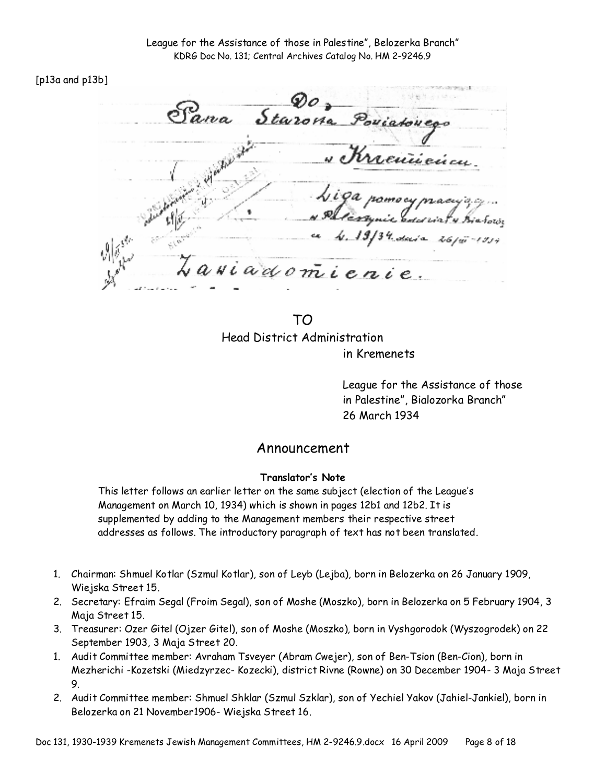#### [p13a and p13b]

Starona Poviato renicci  $NU$ adon

TO Head District Administration in Kremenets

League for the Assistance of those in Palestine", Bialozorka Branch" 26 March 1934

#### Announcement

#### **Translator's Note**

This letter follows an earlier letter on the same subject (election of the League's Management on March 10, 1934) which is shown in pages 12b1 and 12b2. It is supplemented by adding to the Management members their respective street addresses as follows. The introductory paragraph of text has not been translated.

- 1. Chairman: Shmuel Kotlar (Szmul Kotlar), son of Leyb (Lejba), born in Belozerka on 26 January 1909, Wiejska Street 15.
- 2. Secretary: Efraim Segal (Froim Segal), son of Moshe (Moszko), born in Belozerka on 5 February 1904, 3 Maja Street 15.
- 3. Treasurer: Ozer Gitel (Ojzer Gitel), son of Moshe (Moszko), born in Vyshgorodok (Wyszogrodek) on 22 September 1903, 3 Maja Street 20.
- 1. Audit Committee member: Avraham Tsveyer (Abram Cwejer), son of Ben-Tsion (Ben-Cion), born in Mezherichi -Kozetski (Miedzyrzec- Kozecki), district Rivne (Rowne) on 30 December 1904- 3 Maja Street 9.
- 2. Audit Committee member: Shmuel Shklar (Szmul Szklar), son of Yechiel Yakov (Jahiel-Jankiel), born in Belozerka on 21 November1906- Wiejska Street 16.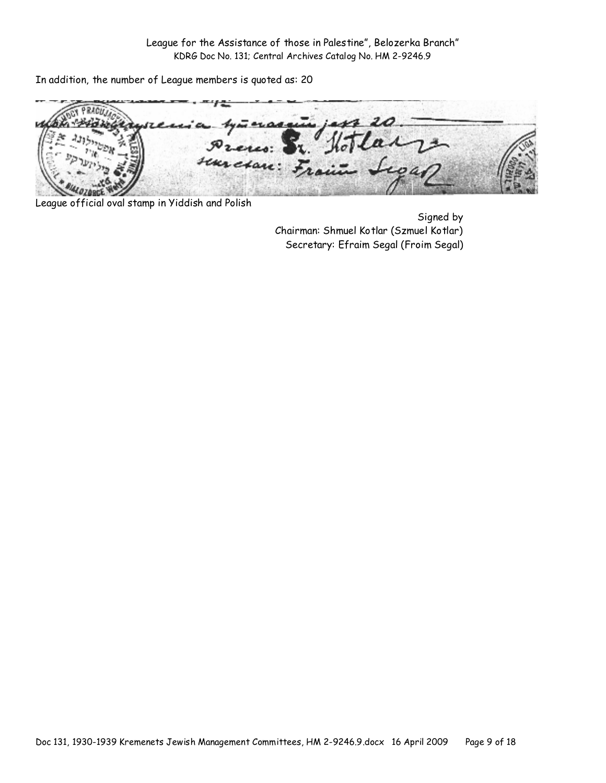In addition, the number of League members is quoted as: 20

Press: suresan: F

League official oval stamp in Yiddish and Polish

Signed by Chairman: Shmuel Kotlar (Szmuel Kotlar) Secretary: Efraim Segal (Froim Segal)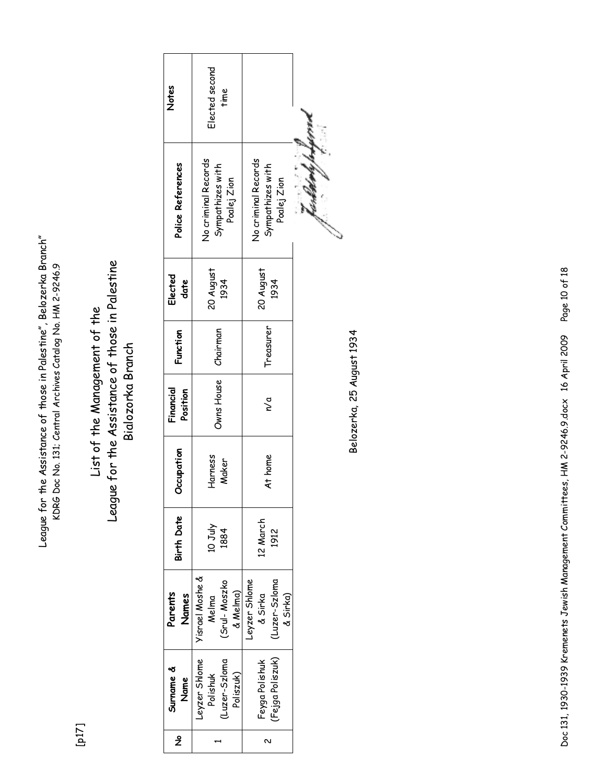League for the Assistance of those in Palestine", Belozerka Branch" League for the Assistance of those in Palestine", Belozerka Branch" KDRG Doc No. 131; Central Archives Catalog No. HM 2-9246.9 KDRG Doc No. 131; Central Archives Catalog No. HM 2-9246.9

[p17]

# League for the Assistance of those in Palestine League for the Assistance of those in Palestine List of the Management of the List of the Management of the Bialozorka Branch Bialozorka Branch

| ž | Surname &<br>Name                                       | Parents<br>Names                                      | <b>Birth Date</b>     | <b>Decupation</b> | Financial<br>Position | Function  | Elected<br>date   | Police References                                      | Notes                  |  |
|---|---------------------------------------------------------|-------------------------------------------------------|-----------------------|-------------------|-----------------------|-----------|-------------------|--------------------------------------------------------|------------------------|--|
|   | Leyzer Shlome<br>(Luzer-Szloma<br>Polishuk<br>Poliszuk) | Yisrael Moshe &<br>(Srul-Moszko<br>& Melma)<br>Melma  | <b>Ant</b> ot<br>1884 | Harness<br>Maker  | Owns House            | Chairman  | 20 August<br>1934 | No criminal Records<br>Sympathizes with<br>Poalej Zion | Elected second<br>time |  |
| 2 | (Fejga Poliszuk)<br>Feyga Polishuk                      | Leyzer Shlome<br>(Luzer-Szloma<br>å Sirka<br>& Sirka) | 12 March<br>1912      | At home           | $\frac{a}{a}$         | Treasurer | 20 August<br>1934 | No criminal Records<br>Sympathizes with<br>Poalej Zion |                        |  |
|   |                                                         |                                                       |                       |                   |                       |           |                   |                                                        |                        |  |

Belozerka, 25 August 1934 Belozerka, 25 August 1934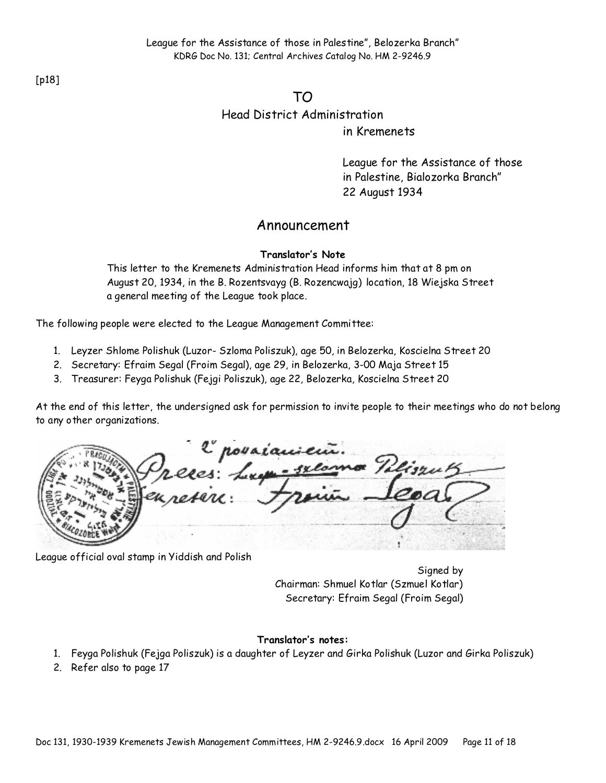[p18]

TO

Head District Administration

in Kremenets

League for the Assistance of those in Palestine, Bialozorka Branch" 22 August 1934

### Announcement

#### **Translator's Note**

This letter to the Kremenets Administration Head informs him that at 8 pm on August 20, 1934, in the B. Rozentsvayg (B. Rozencwajg) location, 18 Wiejska Street a general meeting of the League took place.

The following people were elected to the League Management Committee:

- 1. Leyzer Shlome Polishuk (Luzor- Szloma Poliszuk), age 50, in Belozerka, Koscielna Street 20
- 2. Secretary: Efraim Segal (Froim Segal), age 29, in Belozerka, 3-00 Maja Street 15
- 3. Treasurer: Feyga Polishuk (Fejgi Poliszuk), age 22, Belozerka, Koscielna Street 20

At the end of this letter, the undersigned ask for permission to invite people to their meetings who do not belong to any other organizations.

2 považaniem.<br>25. Lupa - selomo Pelis

League official oval stamp in Yiddish and Polish

Signed by Chairman: Shmuel Kotlar (Szmuel Kotlar) Secretary: Efraim Segal (Froim Segal)

#### **Translator's notes:**

- 1. Feyga Polishuk (Fejga Poliszuk) is a daughter of Leyzer and Girka Polishuk (Luzor and Girka Poliszuk)
- 2. Refer also to page 17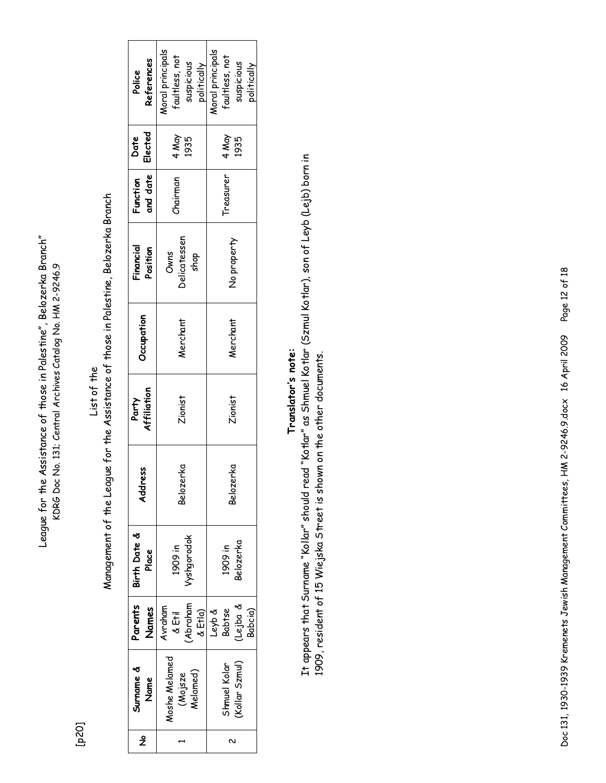League for the Assistance of those in Palestine", Belozerka Branch" League for the Assistance of those in Palestine", Belozerka Branch" KDRG Doc No. 131; Central Archives Catalog No. HM 2-9246.9 KDRG Doc No. 131; Central Archives Catalog No. HM 2-9246.9

[p20]

List of the

Management of the League for the Assistance of those in Palestine, Belozerka Branch Management of the League for the Assistance of those in Palestine, Belozerka Branch

| Surname &<br>Name                    | Parents<br>Names                              | Birth Date &<br>Place | ss.<br>Addr. | Affiliation<br>Party | Occupation | Financial<br>Position        | and date<br>Function | Elected<br>Date | References<br>Police                                            |
|--------------------------------------|-----------------------------------------------|-----------------------|--------------|----------------------|------------|------------------------------|----------------------|-----------------|-----------------------------------------------------------------|
| Aoshe Melamed<br>Melamed)<br>(Mojsze | Abraham<br>Avraham<br>& Etla)<br>& Etil       | yshgorodok<br>1909 in | Belozerka    | Zionist              | Nerchant   | Delicatessen<br>Owns<br>shop | chairman             | 4 May<br>1935   | Moral principals<br>raultless, not<br>suspicious<br>politically |
| Kollar Szmul)<br>shmuel Kolar        | Lejba &<br><b>Babtse</b><br>Leyb &<br>Babcia) | Belozerka<br>1909 in  | Belozerka    | Zionist              | Nerchant   | No property                  | Treasurer            | 4 May<br>1935   | Moral principals<br>faultless, not<br>suspicious<br>politically |

# **Translator's note:**  Translator's note:

It appears that Surname "Kollar" should read "Kotlar" as Shmuel Kotlar (Szmul Kotlar), son of Leyb (Lejb) born in It appears that Surname "Kollar" should read "Kotlar" as Shmuel Kotlar (Szmul Kotlar), son of Leyb (Lejb) born in 1909, resident of 15 Wiejska Street is shown on the other documents. 1909, resident of 15 Wiejska Street is shown on the other documents.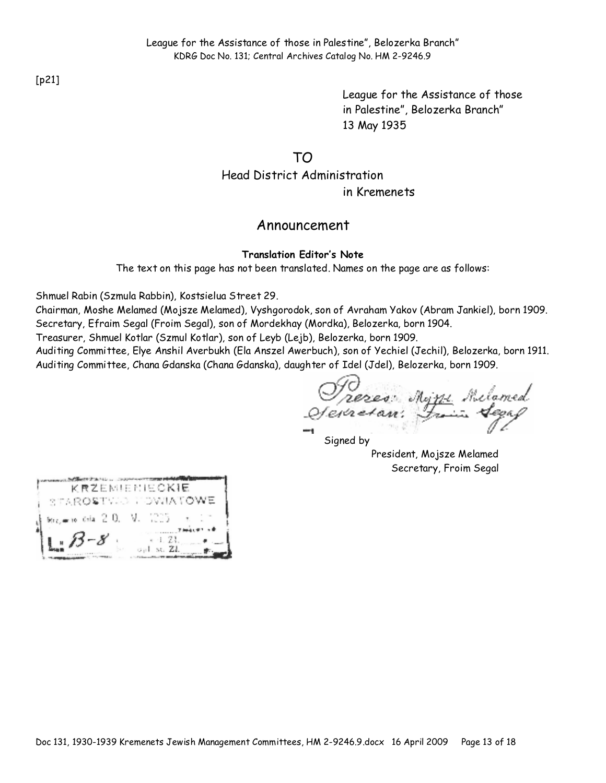League for the Assistance of those in Palestine", Belozerka Branch" 13 May 1935

TO

Head District Administration in Kremenets

### Announcement

#### **Translation Editor's Note**

The text on this page has not been translated. Names on the page are as follows:

Shmuel Rabin (Szmula Rabbin), Kostsielua Street 29.

Chairman, Moshe Melamed (Mojsze Melamed), Vyshgorodok, son of Avraham Yakov (Abram Jankiel), born 1909. Secretary, Efraim Segal (Froim Segal), son of Mordekhay (Mordka), Belozerka, born 1904.

Treasurer, Shmuel Kotlar (Szmul Kotlar), son of Leyb (Lejb), Belozerka, born 1909.

Auditing Committee, Elye Anshil Averbukh (Ela Anszel Awerbuch), son of Yechiel (Jechil), Belozerka, born 1911. Auditing Committee, Chana Gdanska (Chana Gdanska), daughter of Idel (Jdel), Belozerka, born 1909.

Prezes: Myni Milamed<br>Sevretan: France Segap

Signed by President, Mojsze Melamed Secretary, Froim Segal

|                      |  | KRZEMIENIECKIE |  |  |
|----------------------|--|----------------|--|--|
| STAROSTVIO LOWIATOWE |  |                |  |  |
|                      |  |                |  |  |
| $13 - 8$             |  | e -1. Zi.      |  |  |

Doc 131, 1930-1939 Kremenets Jewish Management Committees, HM 2-9246.9.docx 16 April 2009 Page 13 of 18

[p21]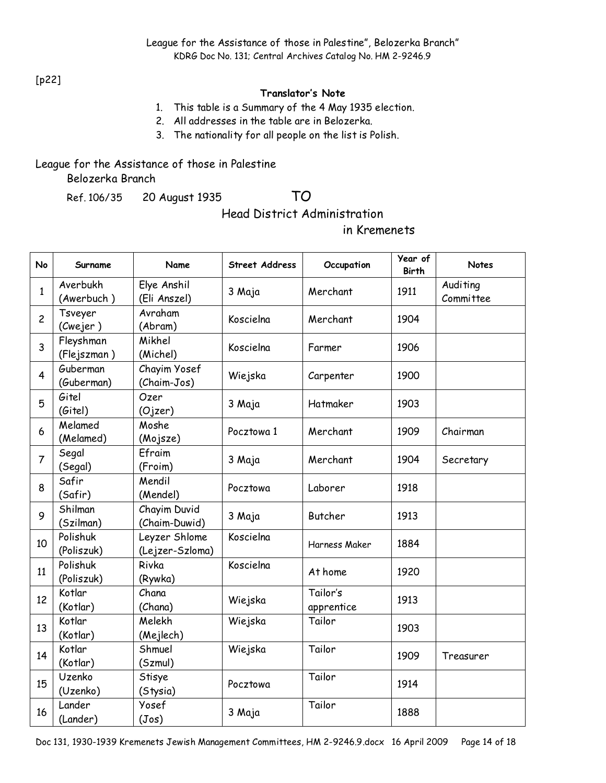[p22]

#### **Translator's Note**

- 1. This table is a Summary of the 4 May 1935 election.
- 2. All addresses in the table are in Belozerka.
- 3. The nationality for all people on the list is Polish.

#### League for the Assistance of those in Palestine Belozerka Branch

Ref. 106/35 20 August 1935 TO

Head District Administration

in Kremenets

| No                      | Surname                  | Name                             | <b>Street Address</b> | Occupation             | Year of<br><b>Birth</b> | <b>Notes</b>          |
|-------------------------|--------------------------|----------------------------------|-----------------------|------------------------|-------------------------|-----------------------|
| $\mathbf{1}$            | Averbukh<br>(Awerbuch)   | Elye Anshil<br>(Eli Anszel)      | 3 Maja                | Merchant               | 1911                    | Auditing<br>Committee |
| $\overline{c}$          | Tsveyer<br>(Cwejer)      | Avraham<br>(Abram)               | Koscielna             | Merchant               | 1904                    |                       |
| 3                       | Fleyshman<br>(Flejszman) | Mikhel<br>(Michel)               | Koscielna             | Farmer                 | 1906                    |                       |
| $\overline{\mathbf{4}}$ | Guberman<br>(Guberman)   | Chayim Yosef<br>(Chaim-Jos)      | Wiejska               | Carpenter              | 1900                    |                       |
| 5                       | Gitel<br>(Gitel)         | Ozer<br>(Ojzer)                  | 3 Maja                | Hatmaker               | 1903                    |                       |
| 6                       | Melamed<br>(Melamed)     | Moshe<br>(Mojsze)                | Pocztowa 1            | Merchant               | 1909                    | Chairman              |
| $\overline{7}$          | Segal<br>(Segal)         | Efraim<br>(Froim)                | 3 Maja                | Merchant               | 1904                    | Secretary             |
| 8                       | Safir<br>(Safir)         | Mendil<br>(Mendel)               | Pocztowa              | Laborer                | 1918                    |                       |
| 9                       | Shilman<br>(Szilman)     | Chayim Duvid<br>(Chaim-Duwid)    | 3 Maja                | <b>Butcher</b>         | 1913                    |                       |
| 10                      | Polishuk<br>(Poliszuk)   | Leyzer Shlome<br>(Lejzer-Szloma) | Koscielna             | Harness Maker          | 1884                    |                       |
| 11                      | Polishuk<br>(Poliszuk)   | Rivka<br>(Rywka)                 | Koscielna             | At home                | 1920                    |                       |
| 12                      | Kotlar<br>(Kotlar)       | Chana<br>(Chana)                 | Wiejska               | Tailor's<br>apprentice | 1913                    |                       |
| 13                      | Kotlar<br>(Kotlar)       | Melekh<br>(Mejlech)              | Wiejska               | Tailor                 | 1903                    |                       |
| 14                      | Kotlar<br>(Kotlar)       | Shmuel<br>(Szmul)                | Wiejska               | Tailor                 | 1909                    | Treasurer             |
| 15                      | Uzenko<br>(Uzenko)       | Stisye<br>(Stysia)               | Pocztowa              | Tailor                 | 1914                    |                       |
| 16                      | Lander<br>(Lander)       | Yosef<br>(Jos)                   | 3 Maja                | Tailor                 | 1888                    |                       |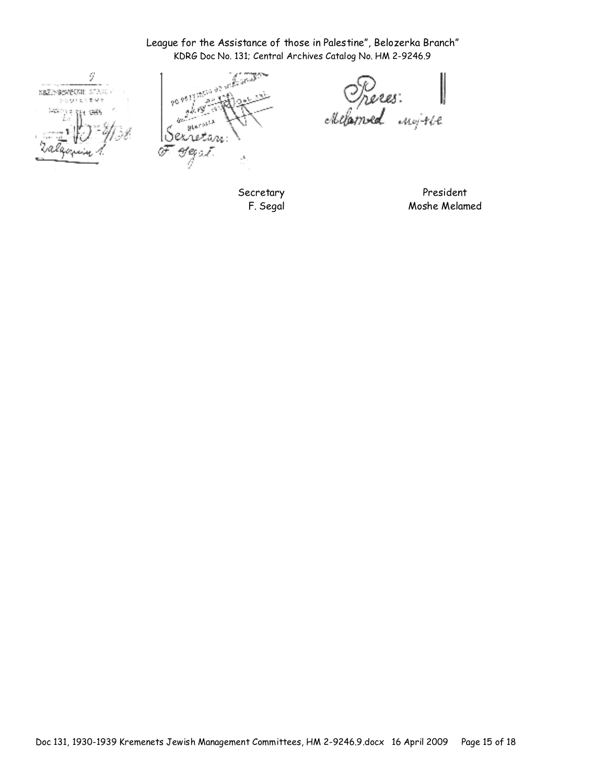# League for the Assistance of those in Palestine", Belozerka Branch"

ÿ KSZEMSKOKIE STANO POUTRYBUR V 3 521 1986 **Links** ÷.

glarosi. Sexretan: Hepa T J.

KDRG Doc No. 131; Central Archives Catalog No. HM 2-9246.9<br>  $\sqrt{6.95 \times 10^{13} \text{ J}^2/\text{m}^2/\text{m}^2/\text{m}^2/\text{m}^2/\text{m}^2/\text{m}^2/\text{m}^2/\text{m}^2/\text{m}^2/\text{m}^2/\text{m}^2/\text{m}^2/\text{m}^2/\text{m}^2/\text{m}^2/\text{m}^2/\text{m}^2/\text{m}^2/\text{m}^2/\text{m$ Preces:

Secretary F. Segal

President Moshe Melamed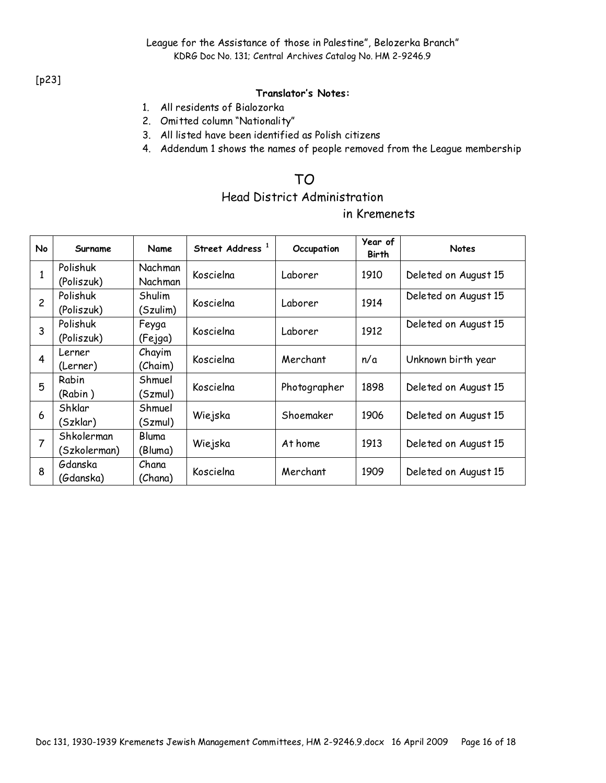#### [p23]

#### **Translator's Notes:**

- 1. All residents of Bialozorka
- 2. Omitted column "Nationality"
- 3. All listed have been identified as Polish citizens
- 4. Addendum 1 shows the names of people removed from the League membership

## TO

## Head District Administration

#### in Kremenets

| No             | Surname                    | Name                      | Street Address <sup>1</sup> | Occupation   | Year of<br><b>Birth</b> | <b>Notes</b>         |
|----------------|----------------------------|---------------------------|-----------------------------|--------------|-------------------------|----------------------|
| 1              | Polishuk<br>(Poliszuk)     | <b>Nachman</b><br>Nachman | Koscielna                   | Laborer      | 1910                    | Deleted on August 15 |
| $\overline{c}$ | Polishuk<br>(Poliszuk)     | Shulim<br>(Szulim)        | Koscielna                   | Laborer      | 1914                    | Deleted on August 15 |
| 3              | Polishuk<br>(Poliszuk)     | Feyga<br>(Fejga)          | Koscielna                   | Laborer      | 1912                    | Deleted on August 15 |
| 4              | Lerner<br>(Lerner)         | Chayim<br>(Chaim)         | Koscielna                   | Merchant     | n/a                     | Unknown birth year   |
| 5              | Rabin<br>(Rabin)           | Shmuel<br>(Szmul)         | Koscielna                   | Photographer | 1898                    | Deleted on August 15 |
| 6              | Shklar<br>(Szklar)         | Shmuel<br>(Szmul)         | Wiejska                     | Shoemaker    | 1906                    | Deleted on August 15 |
| $\overline{7}$ | Shkolerman<br>(Szkolerman) | Bluma<br>(Bluma)          | Wiejska                     | At home      | 1913                    | Deleted on August 15 |
| 8              | Gdanska<br>(Gdanska)       | Chana<br>(Chana)          | Koscielna                   | Merchant     | 1909                    | Deleted on August 15 |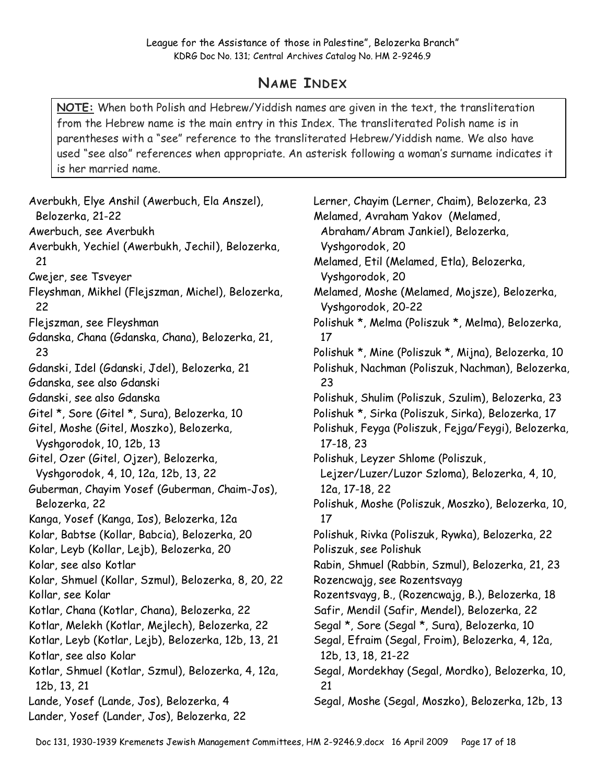# **NAME INDEX**

**NOTE:** When both Polish and Hebrew/Yiddish names are given in the text, the transliteration from the Hebrew name is the main entry in this Index. The transliterated Polish name is in parentheses with a "see" reference to the transliterated Hebrew/Yiddish name. We also have used "see also" references when appropriate. An asterisk following a woman's surname indicates it is her married name.

Averbukh, Elye Anshil (Awerbuch, Ela Anszel), Belozerka, 21-22 Awerbuch, see Averbukh Averbukh, Yechiel (Awerbukh, Jechil), Belozerka, 21 Cwejer, see Tsveyer Fleyshman, Mikhel (Flejszman, Michel), Belozerka, 22 Flejszman, see Fleyshman Gdanska, Chana (Gdanska, Chana), Belozerka, 21, 23 Gdanski, Idel (Gdanski, Jdel), Belozerka, 21 Gdanska, see also Gdanski Gdanski, see also Gdanska Gitel \*, Sore (Gitel \*, Sura), Belozerka, 10 Gitel, Moshe (Gitel, Moszko), Belozerka, Vyshgorodok, 10, 12b, 13 Gitel, Ozer (Gitel, Ojzer), Belozerka, Vyshgorodok, 4, 10, 12a, 12b, 13, 22 Guberman, Chayim Yosef (Guberman, Chaim-Jos), Belozerka, 22 Kanga, Yosef (Kanga, Ios), Belozerka, 12a Kolar, Babtse (Kollar, Babcia), Belozerka, 20 Kolar, Leyb (Kollar, Lejb), Belozerka, 20 Kolar, see also Kotlar Kolar, Shmuel (Kollar, Szmul), Belozerka, 8, 20, 22 Kollar, see Kolar Kotlar, Chana (Kotlar, Chana), Belozerka, 22 Kotlar, Melekh (Kotlar, Mejlech), Belozerka, 22 Kotlar, Leyb (Kotlar, Lejb), Belozerka, 12b, 13, 21 Kotlar, see also Kolar Kotlar, Shmuel (Kotlar, Szmul), Belozerka, 4, 12a, 12b, 13, 21 Lande, Yosef (Lande, Jos), Belozerka, 4 Lander, Yosef (Lander, Jos), Belozerka, 22

Lerner, Chayim (Lerner, Chaim), Belozerka, 23 Melamed, Avraham Yakov (Melamed, Abraham/Abram Jankiel), Belozerka, Vyshgorodok, 20 Melamed, Etil (Melamed, Etla), Belozerka, Vyshgorodok, 20 Melamed, Moshe (Melamed, Mojsze), Belozerka, Vyshgorodok, 20-22 Polishuk \*, Melma (Poliszuk \*, Melma), Belozerka, 17 Polishuk \*, Mine (Poliszuk \*, Mijna), Belozerka, 10 Polishuk, Nachman (Poliszuk, Nachman), Belozerka, 23 Polishuk, Shulim (Poliszuk, Szulim), Belozerka, 23 Polishuk \*, Sirka (Poliszuk, Sirka), Belozerka, 17 Polishuk, Feyga (Poliszuk, Fejga/Feygi), Belozerka, 17-18, 23 Polishuk, Leyzer Shlome (Poliszuk, Lejzer/Luzer/Luzor Szloma), Belozerka, 4, 10, 12a, 17-18, 22 Polishuk, Moshe (Poliszuk, Moszko), Belozerka, 10, 17 Polishuk, Rivka (Poliszuk, Rywka), Belozerka, 22 Poliszuk, see Polishuk Rabin, Shmuel (Rabbin, Szmul), Belozerka, 21, 23 Rozencwajg, see Rozentsvayg Rozentsvayg, B., (Rozencwajg, B.), Belozerka, 18 Safir, Mendil (Safir, Mendel), Belozerka, 22 Segal \*, Sore (Segal \*, Sura), Belozerka, 10 Segal, Efraim (Segal, Froim), Belozerka, 4, 12a, 12b, 13, 18, 21-22 Segal, Mordekhay (Segal, Mordko), Belozerka, 10, 21 Segal, Moshe (Segal, Moszko), Belozerka, 12b, 13